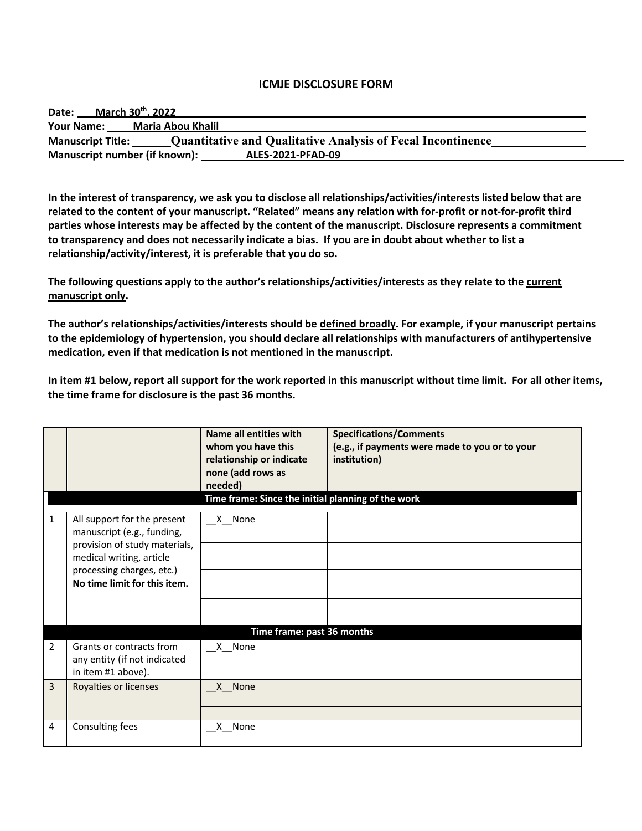#### **ICMJE DISCLOSURE FORM**

| Date:                                                                                          | March 30 <sup>th</sup> , 2022                      |  |
|------------------------------------------------------------------------------------------------|----------------------------------------------------|--|
| <b>Your Name:</b>                                                                              | Maria Abou Khalil                                  |  |
| <b>Quantitative and Qualitative Analysis of Fecal Incontinence</b><br><b>Manuscript Title:</b> |                                                    |  |
|                                                                                                | Manuscript number (if known):<br>ALES-2021-PFAD-09 |  |

**In the interest of transparency, we ask you to disclose all relationships/activities/interests listed below that are related to the content of your manuscript. "Related" means any relation with for-profit or not-for-profit third parties whose interests may be affected by the content of the manuscript. Disclosure represents a commitment to transparency and does not necessarily indicate a bias. If you are in doubt about whether to list a relationship/activity/interest, it is preferable that you do so.** 

**The following questions apply to the author's relationships/activities/interests as they relate to the current manuscript only.**

**The author's relationships/activities/interests should be defined broadly. For example, if your manuscript pertains to the epidemiology of hypertension, you should declare all relationships with manufacturers of antihypertensive medication, even if that medication is not mentioned in the manuscript.** 

**In item #1 below, report all support for the work reported in this manuscript without time limit. For all other items, the time frame for disclosure is the past 36 months.** 

|                |                                                                                                                                                                                     | Name all entities with<br>whom you have this<br>relationship or indicate<br>none (add rows as<br>needed)<br>Time frame: Since the initial planning of the work | <b>Specifications/Comments</b><br>(e.g., if payments were made to you or to your<br>institution) |
|----------------|-------------------------------------------------------------------------------------------------------------------------------------------------------------------------------------|----------------------------------------------------------------------------------------------------------------------------------------------------------------|--------------------------------------------------------------------------------------------------|
| $\mathbf{1}$   | All support for the present<br>manuscript (e.g., funding,<br>provision of study materials,<br>medical writing, article<br>processing charges, etc.)<br>No time limit for this item. | X None                                                                                                                                                         |                                                                                                  |
|                |                                                                                                                                                                                     | Time frame: past 36 months                                                                                                                                     |                                                                                                  |
| $\overline{2}$ | Grants or contracts from<br>any entity (if not indicated<br>in item #1 above).                                                                                                      | X None                                                                                                                                                         |                                                                                                  |
| 3              | Royalties or licenses                                                                                                                                                               | X None                                                                                                                                                         |                                                                                                  |
| 4              | Consulting fees                                                                                                                                                                     | X None                                                                                                                                                         |                                                                                                  |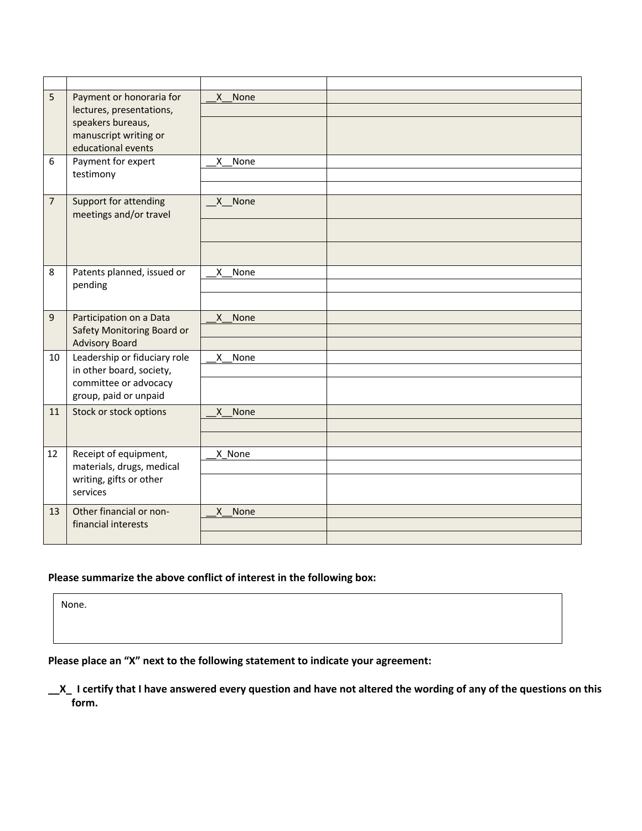| 5              | Payment or honoraria for                                                                  | None<br>X            |  |
|----------------|-------------------------------------------------------------------------------------------|----------------------|--|
|                | lectures, presentations,                                                                  |                      |  |
|                | speakers bureaus,                                                                         |                      |  |
|                | manuscript writing or                                                                     |                      |  |
|                | educational events                                                                        |                      |  |
| 6              | Payment for expert                                                                        | None<br>X            |  |
|                | testimony                                                                                 |                      |  |
|                |                                                                                           |                      |  |
| $\overline{7}$ | Support for attending<br>meetings and/or travel                                           | X None               |  |
|                |                                                                                           |                      |  |
|                |                                                                                           |                      |  |
|                |                                                                                           |                      |  |
|                |                                                                                           |                      |  |
| 8              | Patents planned, issued or<br>pending                                                     | None<br>$\times$     |  |
|                |                                                                                           |                      |  |
|                |                                                                                           |                      |  |
| 9              | Participation on a Data                                                                   | None<br>X            |  |
|                | Safety Monitoring Board or                                                                |                      |  |
|                | <b>Advisory Board</b>                                                                     |                      |  |
| 10             | Leadership or fiduciary role                                                              | X None               |  |
|                | in other board, society,                                                                  |                      |  |
|                | committee or advocacy<br>group, paid or unpaid                                            |                      |  |
|                |                                                                                           |                      |  |
| 11             | Stock or stock options                                                                    | None<br>X            |  |
|                |                                                                                           |                      |  |
|                |                                                                                           |                      |  |
| 12             | Receipt of equipment,<br>materials, drugs, medical<br>writing, gifts or other<br>services | X None               |  |
|                |                                                                                           |                      |  |
|                |                                                                                           |                      |  |
|                |                                                                                           |                      |  |
| 13             | Other financial or non-<br>financial interests                                            | $\mathsf{x}$<br>None |  |
|                |                                                                                           |                      |  |
|                |                                                                                           |                      |  |

## **Please summarize the above conflict of interest in the following box:**

None.

**Please place an "X" next to the following statement to indicate your agreement:**

**\_\_X\_ I certify that I have answered every question and have not altered the wording of any of the questions on this form.**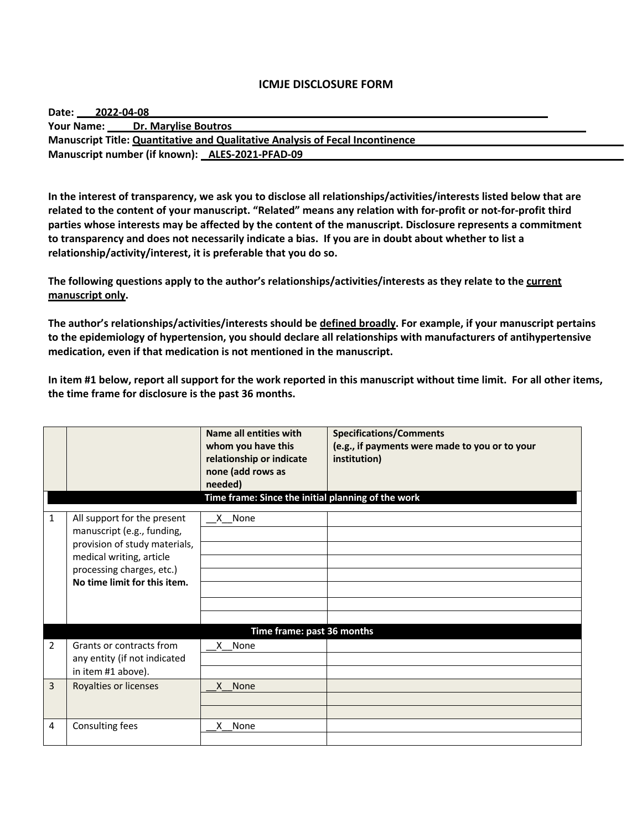#### **ICMJE DISCLOSURE FORM**

| Your Name: Dr. Marylise Boutros<br>Manuscript Title: Quantitative and Qualitative Analysis of Fecal Incontinence | Date:<br>2022-04-08 |  |  |  |  |
|------------------------------------------------------------------------------------------------------------------|---------------------|--|--|--|--|
|                                                                                                                  |                     |  |  |  |  |
|                                                                                                                  |                     |  |  |  |  |
| Manuscript number (if known): ALES-2021-PFAD-09                                                                  |                     |  |  |  |  |

**In the interest of transparency, we ask you to disclose all relationships/activities/interests listed below that are related to the content of your manuscript. "Related" means any relation with for-profit or not-for-profit third parties whose interests may be affected by the content of the manuscript. Disclosure represents a commitment to transparency and does not necessarily indicate a bias. If you are in doubt about whether to list a relationship/activity/interest, it is preferable that you do so.** 

**The following questions apply to the author's relationships/activities/interests as they relate to the current manuscript only.**

**The author's relationships/activities/interests should be defined broadly. For example, if your manuscript pertains to the epidemiology of hypertension, you should declare all relationships with manufacturers of antihypertensive medication, even if that medication is not mentioned in the manuscript.** 

**In item #1 below, report all support for the work reported in this manuscript without time limit. For all other items, the time frame for disclosure is the past 36 months.** 

|                |                                                                                                                                                                                     | Name all entities with<br>whom you have this<br>relationship or indicate<br>none (add rows as<br>needed)<br>Time frame: Since the initial planning of the work | <b>Specifications/Comments</b><br>(e.g., if payments were made to you or to your<br>institution) |
|----------------|-------------------------------------------------------------------------------------------------------------------------------------------------------------------------------------|----------------------------------------------------------------------------------------------------------------------------------------------------------------|--------------------------------------------------------------------------------------------------|
| $\mathbf{1}$   | All support for the present<br>manuscript (e.g., funding,<br>provision of study materials,<br>medical writing, article<br>processing charges, etc.)<br>No time limit for this item. | X None                                                                                                                                                         |                                                                                                  |
|                |                                                                                                                                                                                     | Time frame: past 36 months                                                                                                                                     |                                                                                                  |
| $\overline{2}$ | Grants or contracts from<br>any entity (if not indicated<br>in item #1 above).                                                                                                      | X None                                                                                                                                                         |                                                                                                  |
| $\overline{3}$ | Royalties or licenses                                                                                                                                                               | X None                                                                                                                                                         |                                                                                                  |
| 4              | Consulting fees                                                                                                                                                                     | X None                                                                                                                                                         |                                                                                                  |